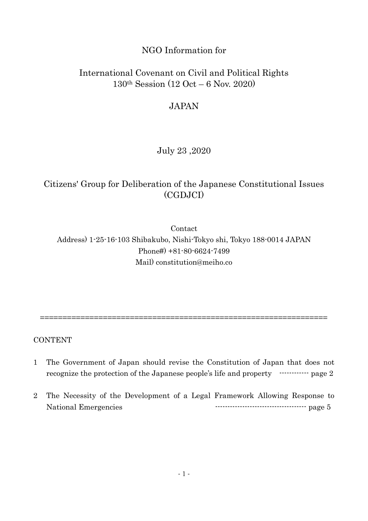## NGO Information for

## International Covenant on Civil and Political Rights 130th Session (12 Oct – 6 Nov. 2020)

## JAPAN

### July 23 ,2020

# Citizens' Group for Deliberation of the Japanese Constitutional Issues (CGDJCI)

Contact Address) 1-25-16-103 Shibakubo, Nishi-Tokyo shi, Tokyo 188-0014 JAPAN Phone#) +81-80-6624-7499 Mail) constitution@meiho.co

CONTENT

1 The Government of Japan should revise the Constitution of Japan that does not recognize the protection of the Japanese people's life and property ------------- page 2

================================================================

2 The Necessity of the Development of a Legal Framework Allowing Response to National Emergencies ------------------------------------- page 5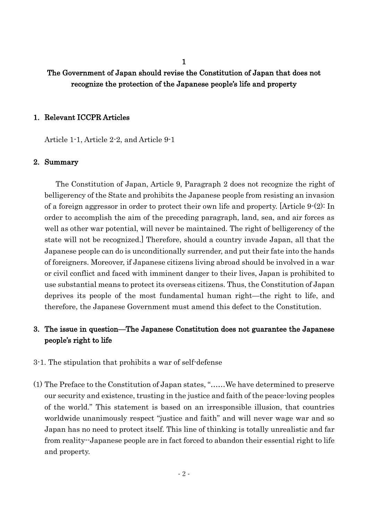1

### The Government of Japan should revise the Constitution of Japan that does not recognize the protection of the Japanese people's life and property

#### 1. Relevant ICCPR Articles

Article 1-1, Article 2-2, and Article 9-1

#### 2. Summary

The Constitution of Japan, Article 9, Paragraph 2 does not recognize the right of belligerency of the State and prohibits the Japanese people from resisting an invasion of a foreign aggressor in order to protect their own life and property. [Article 9-(2): In order to accomplish the aim of the preceding paragraph, land, sea, and air forces as well as other war potential, will never be maintained. The right of belligerency of the state will not be recognized.] Therefore, should a country invade Japan, all that the Japanese people can do is unconditionally surrender, and put their fate into the hands of foreigners. Moreover, if Japanese citizens living abroad should be involved in a war or civil conflict and faced with imminent danger to their lives, Japan is prohibited to use substantial means to protect its overseas citizens. Thus, the Constitution of Japan deprives its people of the most fundamental human right—the right to life, and therefore, the Japanese Government must amend this defect to the Constitution.

### 3. The issue in question—The Japanese Constitution does not guarantee the Japanese people's right to life

- 3-1. The stipulation that prohibits a war of self-defense
- (1) The Preface to the Constitution of Japan states, "……We have determined to preserve our security and existence, trusting in the justice and faith of the peace-loving peoples of the world." This statement is based on an irresponsible illusion, that countries worldwide unanimously respect "justice and faith" and will never wage war and so Japan has no need to protect itself. This line of thinking is totally unrealistic and far from reality--Japanese people are in fact forced to abandon their essential right to life and property.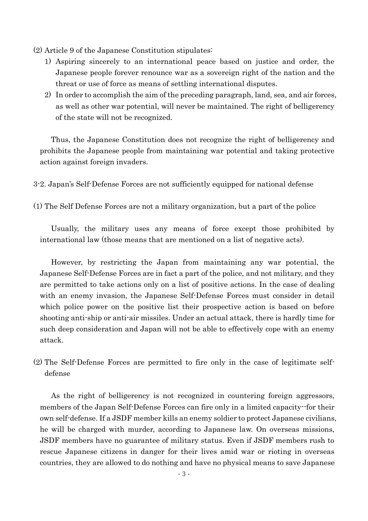- (2) Article 9 of the Japanese Constitution stipulates:
	- 1) Aspiring sincerely to an international peace based on justice and order, the Japanese people forever renounce war as a sovereign right of the nation and the threat or use of force as means of settling international disputes.
	- 2) In order to accomplish the aim of the preceding paragraph, land, sea, and air forces, as well as other war potential, will never be maintained. The right of belligerency of the state will not be recognized.

Thus, the Japanese Constitution does not recognize the right of belligerency and prohibits the Japanese people from maintaining war potential and taking protective action against foreign invaders.

3-2. Japan's Self-Defense Forces are not sufficiently equipped for national defense

(1) The Self Defense Forces are not a military organization, but a part of the police

Usually, the military uses any means of force except those prohibited by international law (those means that are mentioned on a list of negative acts).

However, by restricting the Japan from maintaining any war potential, the Japanese Self-Defense Forces are in fact a part of the police, and not military, and they are permitted to take actions only on a list of positive actions. In the case of dealing with an enemy invasion, the Japanese Self-Defense Forces must consider in detail which police power on the positive list their prospective action is based on before shooting anti-ship or anti-air missiles. Under an actual attack, there is hardly time for such deep consideration and Japan will not be able to effectively cope with an enemy attack.

(2) The Self-Defense Forces are permitted to fire only in the case of legitimate selfdefense

As the right of belligerency is not recognized in countering foreign aggressors, members of the Japan Self-Defense Forces can fire only in a limited capacity--for their own self-defense. If a JSDF member kills an enemy soldier to protect Japanese civilians, he will be charged with murder, according to Japanese law. On overseas missions, JSDF members have no guarantee of military status. Even if JSDF members rush to rescue Japanese citizens in danger for their lives amid war or rioting in overseas countries, they are allowed to do nothing and have no physical means to save Japanese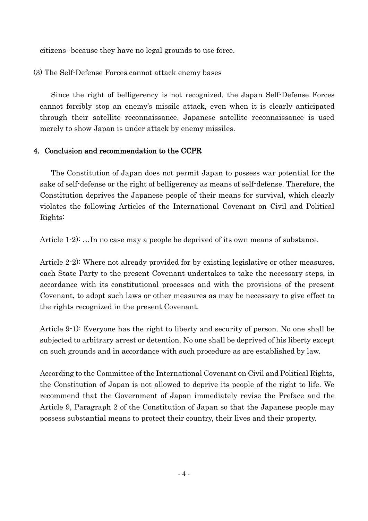citizens--because they have no legal grounds to use force.

(3) The Self-Defense Forces cannot attack enemy bases

Since the right of belligerency is not recognized, the Japan Self-Defense Forces cannot forcibly stop an enemy's missile attack, even when it is clearly anticipated through their satellite reconnaissance. Japanese satellite reconnaissance is used merely to show Japan is under attack by enemy missiles.

#### 4. Conclusion and recommendation to the CCPR

The Constitution of Japan does not permit Japan to possess war potential for the sake of self-defense or the right of belligerency as means of self-defense. Therefore, the Constitution deprives the Japanese people of their means for survival, which clearly violates the following Articles of the International Covenant on Civil and Political Rights:

Article 1-2): …In no case may a people be deprived of its own means of substance.

Article 2-2): Where not already provided for by existing legislative or other measures, each State Party to the present Covenant undertakes to take the necessary steps, in accordance with its constitutional processes and with the provisions of the present Covenant, to adopt such laws or other measures as may be necessary to give effect to the rights recognized in the present Covenant.

Article 9-1): Everyone has the right to liberty and security of person. No one shall be subjected to arbitrary arrest or detention. No one shall be deprived of his liberty except on such grounds and in accordance with such procedure as are established by law.

According to the Committee of the International Covenant on Civil and Political Rights, the Constitution of Japan is not allowed to deprive its people of the right to life. We recommend that the Government of Japan immediately revise the Preface and the Article 9, Paragraph 2 of the Constitution of Japan so that the Japanese people may possess substantial means to protect their country, their lives and their property.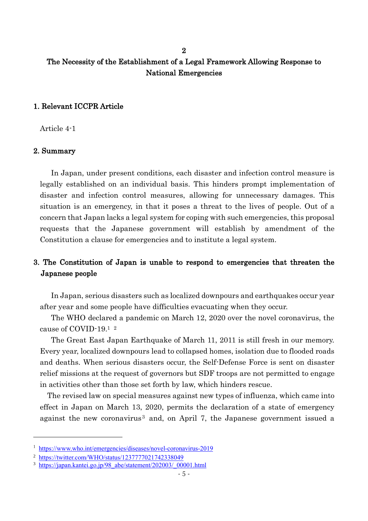## 2 The Necessity of the Establishment of a Legal Framework Allowing Response to National Emergencies

#### 1. Relevant ICCPR Article

Article 4-1

#### 2. Summary

In Japan, under present conditions, each disaster and infection control measure is legally established on an individual basis. This hinders prompt implementation of disaster and infection control measures, allowing for unnecessary damages. This situation is an emergency, in that it poses a threat to the lives of people. Out of a concern that Japan lacks a legal system for coping with such emergencies, this proposal requests that the Japanese government will establish by amendment of the Constitution a clause for emergencies and to institute a legal system.

#### 3. The Constitution of Japan is unable to respond to emergencies that threaten the Japanese people

In Japan, serious disasters such as localized downpours and earthquakes occur year after year and some people have difficulties evacuating when they occur.

The WHO declared a pandemic on March 12, 2020 over the novel coronavirus, the cause of COVID-19.<sup>1</sup> <sup>2</sup>

The Great East Japan Earthquake of March 11, 2011 is still fresh in our memory. Every year, localized downpours lead to collapsed homes, isolation due to flooded roads and deaths. When serious disasters occur, the Self-Defense Force is sent on disaster relief missions at the request of governors but SDF troops are not permitted to engage in activities other than those set forth by law, which hinders rescue.

The revised law on special measures against new types of influenza, which came into effect in Japan on March 13, 2020, permits the declaration of a state of emergency against the new coronavirus<sup>3</sup> and, on April 7, the Japanese government issued a

<sup>1</sup> <https://www.who.int/emergencies/diseases/novel-coronavirus-2019>

<sup>2</sup> <https://twitter.com/WHO/status/1237777021742338049>

<sup>&</sup>lt;sup>3</sup> [https://japan.kantei.go.jp/98\\_abe/statement/202003/\\_00001.html](https://japan.kantei.go.jp/98_abe/statement/202003/_00001.html)